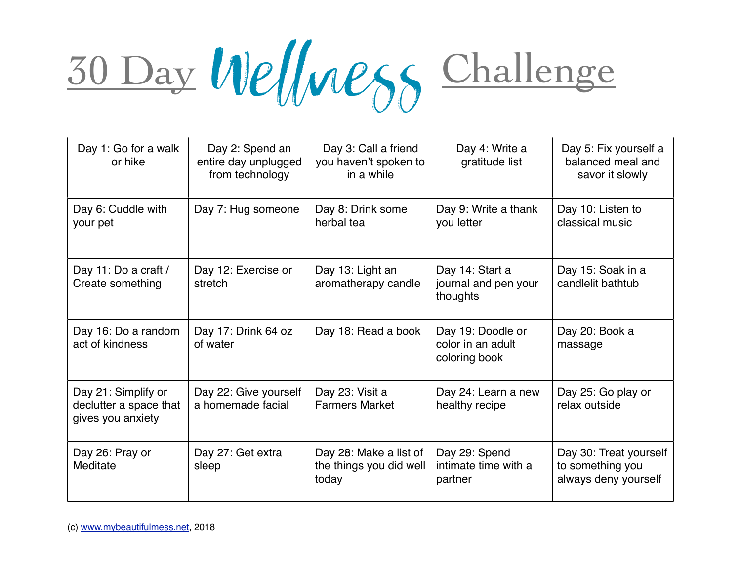## 30 Day Wellness Challenge

| Day 1: Go for a walk<br>or hike                                    | Day 2: Spend an<br>entire day unplugged<br>from technology | Day 3: Call a friend<br>you haven't spoken to<br>in a while | Day 4: Write a<br>gratitude list                        | Day 5: Fix yourself a<br>balanced meal and<br>savor it slowly      |
|--------------------------------------------------------------------|------------------------------------------------------------|-------------------------------------------------------------|---------------------------------------------------------|--------------------------------------------------------------------|
| Day 6: Cuddle with<br>your pet                                     | Day 7: Hug someone                                         | Day 8: Drink some<br>herbal tea                             | Day 9: Write a thank<br>you letter                      | Day 10: Listen to<br>classical music                               |
| Day 11: Do a craft /<br>Create something                           | Day 12: Exercise or<br>stretch                             | Day 13: Light an<br>aromatherapy candle                     | Day 14: Start a<br>journal and pen your<br>thoughts     | Day 15: Soak in a<br>candlelit bathtub                             |
| Day 16: Do a random<br>act of kindness                             | Day 17: Drink 64 oz<br>of water                            | Day 18: Read a book                                         | Day 19: Doodle or<br>color in an adult<br>coloring book | Day 20: Book a<br>massage                                          |
| Day 21: Simplify or<br>declutter a space that<br>gives you anxiety | Day 22: Give yourself<br>a homemade facial                 | Day 23: Visit a<br><b>Farmers Market</b>                    | Day 24: Learn a new<br>healthy recipe                   | Day 25: Go play or<br>relax outside                                |
| Day 26: Pray or<br>Meditate                                        | Day 27: Get extra<br>sleep                                 | Day 28: Make a list of<br>the things you did well<br>today  | Day 29: Spend<br>intimate time with a<br>partner        | Day 30: Treat yourself<br>to something you<br>always deny yourself |